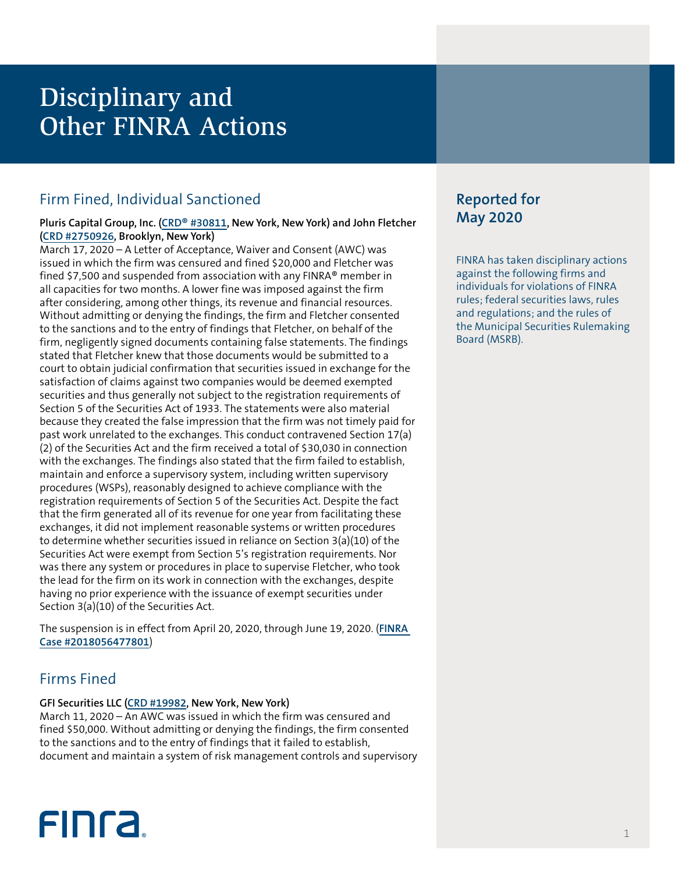## Disciplinary and Other FINRA Actions

## Firm Fined, Individual Sanctioned

#### **Pluris Capital Group, Inc. ([CRD® #30811,](http://brokercheck.finra.org/firm/30811) New York, New York) and John Fletcher [\(CRD #2750926](http://brokercheck.finra.org/individual/2750926), Brooklyn, New York)**

March 17, 2020 – A Letter of Acceptance, Waiver and Consent (AWC) was issued in which the firm was censured and fined \$20,000 and Fletcher was fined \$7,500 and suspended from association with any FINRA® member in all capacities for two months. A lower fine was imposed against the firm after considering, among other things, its revenue and financial resources. Without admitting or denying the findings, the firm and Fletcher consented to the sanctions and to the entry of findings that Fletcher, on behalf of the firm, negligently signed documents containing false statements. The findings stated that Fletcher knew that those documents would be submitted to a court to obtain judicial confirmation that securities issued in exchange for the satisfaction of claims against two companies would be deemed exempted securities and thus generally not subject to the registration requirements of Section 5 of the Securities Act of 1933. The statements were also material because they created the false impression that the firm was not timely paid for past work unrelated to the exchanges. This conduct contravened Section 17(a) (2) of the Securities Act and the firm received a total of \$30,030 in connection with the exchanges. The findings also stated that the firm failed to establish, maintain and enforce a supervisory system, including written supervisory procedures (WSPs), reasonably designed to achieve compliance with the registration requirements of Section 5 of the Securities Act. Despite the fact that the firm generated all of its revenue for one year from facilitating these exchanges, it did not implement reasonable systems or written procedures to determine whether securities issued in reliance on Section 3(a)(10) of the Securities Act were exempt from Section 5's registration requirements. Nor was there any system or procedures in place to supervise Fletcher, who took the lead for the firm on its work in connection with the exchanges, despite having no prior experience with the issuance of exempt securities under Section 3(a)(10) of the Securities Act.

The suspension is in effect from April 20, 2020, through June 19, 2020. (**[FINRA](https://www.finra.org/rules-guidance/oversight-enforcement/finra-disciplinary-actions?search=2018056477801)  [Case #2018056477801](https://www.finra.org/rules-guidance/oversight-enforcement/finra-disciplinary-actions?search=2018056477801)**)

## Firms Fined

#### **GFI Securities LLC ([CRD #19982](http://brokercheck.finra.org/firm/19982), New York, New York)**

March 11, 2020 – An AWC was issued in which the firm was censured and fined \$50,000. Without admitting or denying the findings, the firm consented to the sanctions and to the entry of findings that it failed to establish, document and maintain a system of risk management controls and supervisory

# **FINCA**

## **Reported for May 2020**

FINRA has taken disciplinary actions against the following firms and individuals for violations of FINRA rules; federal securities laws, rules and regulations; and the rules of the Municipal Securities Rulemaking Board (MSRB).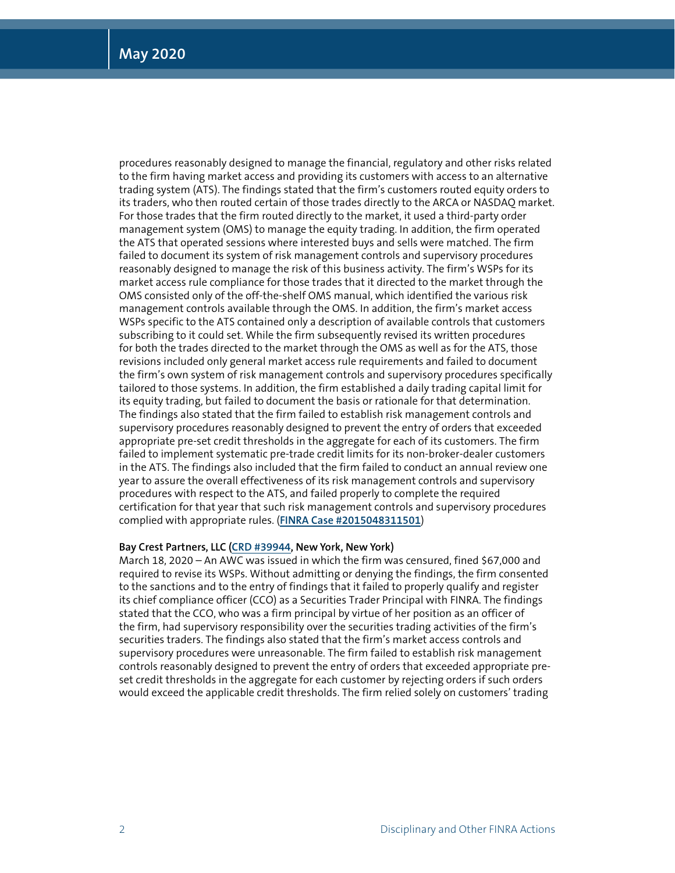procedures reasonably designed to manage the financial, regulatory and other risks related to the firm having market access and providing its customers with access to an alternative trading system (ATS). The findings stated that the firm's customers routed equity orders to its traders, who then routed certain of those trades directly to the ARCA or NASDAQ market. For those trades that the firm routed directly to the market, it used a third-party order management system (OMS) to manage the equity trading. In addition, the firm operated the ATS that operated sessions where interested buys and sells were matched. The firm failed to document its system of risk management controls and supervisory procedures reasonably designed to manage the risk of this business activity. The firm's WSPs for its market access rule compliance for those trades that it directed to the market through the OMS consisted only of the off-the-shelf OMS manual, which identified the various risk management controls available through the OMS. In addition, the firm's market access WSPs specific to the ATS contained only a description of available controls that customers subscribing to it could set. While the firm subsequently revised its written procedures for both the trades directed to the market through the OMS as well as for the ATS, those revisions included only general market access rule requirements and failed to document the firm's own system of risk management controls and supervisory procedures specifically tailored to those systems. In addition, the firm established a daily trading capital limit for its equity trading, but failed to document the basis or rationale for that determination. The findings also stated that the firm failed to establish risk management controls and supervisory procedures reasonably designed to prevent the entry of orders that exceeded appropriate pre-set credit thresholds in the aggregate for each of its customers. The firm failed to implement systematic pre-trade credit limits for its non-broker-dealer customers in the ATS. The findings also included that the firm failed to conduct an annual review one year to assure the overall effectiveness of its risk management controls and supervisory procedures with respect to the ATS, and failed properly to complete the required certification for that year that such risk management controls and supervisory procedures complied with appropriate rules. (**[FINRA Case #2015048311501](https://www.finra.org/rules-guidance/oversight-enforcement/finra-disciplinary-actions?search=2015048311501)**)

#### **Bay Crest Partners, LLC [\(CRD #39944,](http://brokercheck.finra.org/firm/39944) New York, New York)**

March 18, 2020 – An AWC was issued in which the firm was censured, fined \$67,000 and required to revise its WSPs. Without admitting or denying the findings, the firm consented to the sanctions and to the entry of findings that it failed to properly qualify and register its chief compliance officer (CCO) as a Securities Trader Principal with FINRA. The findings stated that the CCO, who was a firm principal by virtue of her position as an officer of the firm, had supervisory responsibility over the securities trading activities of the firm's securities traders. The findings also stated that the firm's market access controls and supervisory procedures were unreasonable. The firm failed to establish risk management controls reasonably designed to prevent the entry of orders that exceeded appropriate preset credit thresholds in the aggregate for each customer by rejecting orders if such orders would exceed the applicable credit thresholds. The firm relied solely on customers' trading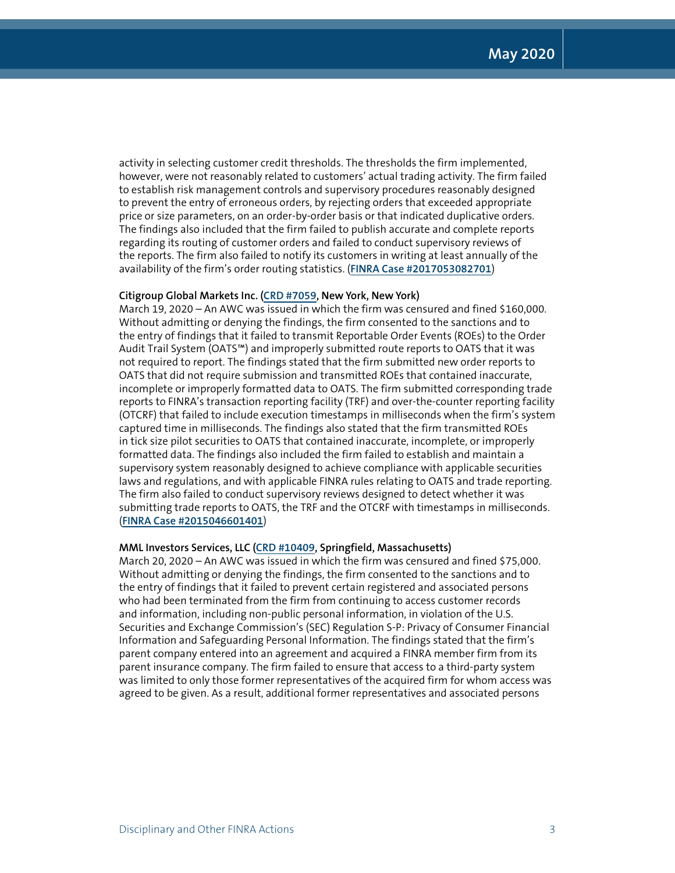activity in selecting customer credit thresholds. The thresholds the firm implemented, however, were not reasonably related to customers' actual trading activity. The firm failed to establish risk management controls and supervisory procedures reasonably designed to prevent the entry of erroneous orders, by rejecting orders that exceeded appropriate price or size parameters, on an order-by-order basis or that indicated duplicative orders. The findings also included that the firm failed to publish accurate and complete reports regarding its routing of customer orders and failed to conduct supervisory reviews of the reports. The firm also failed to notify its customers in writing at least annually of the availability of the firm's order routing statistics. (**[FINRA Case #2017053082701](https://www.finra.org/rules-guidance/oversight-enforcement/finra-disciplinary-actions?search=2017053082701)**)

#### **Citigroup Global Markets Inc. [\(CRD #7059](http://brokercheck.finra.org/firm/7059), New York, New York)**

March 19, 2020 – An AWC was issued in which the firm was censured and fined \$160,000. Without admitting or denying the findings, the firm consented to the sanctions and to the entry of findings that it failed to transmit Reportable Order Events (ROEs) to the Order Audit Trail System (OATS™) and improperly submitted route reports to OATS that it was not required to report. The findings stated that the firm submitted new order reports to OATS that did not require submission and transmitted ROEs that contained inaccurate, incomplete or improperly formatted data to OATS. The firm submitted corresponding trade reports to FINRA's transaction reporting facility (TRF) and over-the-counter reporting facility (OTCRF) that failed to include execution timestamps in milliseconds when the firm's system captured time in milliseconds. The findings also stated that the firm transmitted ROEs in tick size pilot securities to OATS that contained inaccurate, incomplete, or improperly formatted data. The findings also included the firm failed to establish and maintain a supervisory system reasonably designed to achieve compliance with applicable securities laws and regulations, and with applicable FINRA rules relating to OATS and trade reporting. The firm also failed to conduct supervisory reviews designed to detect whether it was submitting trade reports to OATS, the TRF and the OTCRF with timestamps in milliseconds. (**[FINRA Case #2015046601401](https://www.finra.org/rules-guidance/oversight-enforcement/finra-disciplinary-actions?search=2015046601401)**)

#### **MML Investors Services, LLC [\(CRD #10409,](http://brokercheck.finra.org/firm/10409) Springfield, Massachusetts)**

March 20, 2020 – An AWC was issued in which the firm was censured and fined \$75,000. Without admitting or denying the findings, the firm consented to the sanctions and to the entry of findings that it failed to prevent certain registered and associated persons who had been terminated from the firm from continuing to access customer records and information, including non-public personal information, in violation of the U.S. Securities and Exchange Commission's (SEC) Regulation S-P: Privacy of Consumer Financial Information and Safeguarding Personal Information. The findings stated that the firm's parent company entered into an agreement and acquired a FINRA member firm from its parent insurance company. The firm failed to ensure that access to a third-party system was limited to only those former representatives of the acquired firm for whom access was agreed to be given. As a result, additional former representatives and associated persons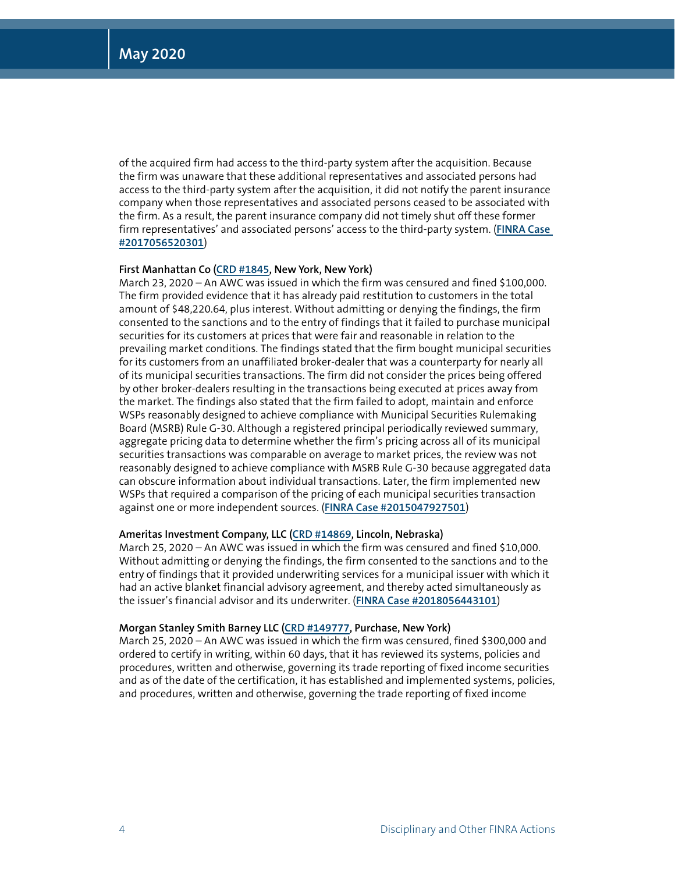of the acquired firm had access to the third-party system after the acquisition. Because the firm was unaware that these additional representatives and associated persons had access to the third-party system after the acquisition, it did not notify the parent insurance company when those representatives and associated persons ceased to be associated with the firm. As a result, the parent insurance company did not timely shut off these former firm representatives' and associated persons' access to the third-party system. (**[FINRA Case](https://www.finra.org/rules-guidance/oversight-enforcement/finra-disciplinary-actions?search=2017056520301)  [#2017056520301](https://www.finra.org/rules-guidance/oversight-enforcement/finra-disciplinary-actions?search=2017056520301)**)

#### **First Manhattan Co [\(CRD #1845](http://brokercheck.finra.org/firm/1845), New York, New York)**

March 23, 2020 – An AWC was issued in which the firm was censured and fined \$100,000. The firm provided evidence that it has already paid restitution to customers in the total amount of \$48,220.64, plus interest. Without admitting or denying the findings, the firm consented to the sanctions and to the entry of findings that it failed to purchase municipal securities for its customers at prices that were fair and reasonable in relation to the prevailing market conditions. The findings stated that the firm bought municipal securities for its customers from an unaffiliated broker-dealer that was a counterparty for nearly all of its municipal securities transactions. The firm did not consider the prices being offered by other broker-dealers resulting in the transactions being executed at prices away from the market. The findings also stated that the firm failed to adopt, maintain and enforce WSPs reasonably designed to achieve compliance with Municipal Securities Rulemaking Board (MSRB) Rule G-30. Although a registered principal periodically reviewed summary, aggregate pricing data to determine whether the firm's pricing across all of its municipal securities transactions was comparable on average to market prices, the review was not reasonably designed to achieve compliance with MSRB Rule G-30 because aggregated data can obscure information about individual transactions. Later, the firm implemented new WSPs that required a comparison of the pricing of each municipal securities transaction against one or more independent sources. (**[FINRA Case #2015047927501](https://www.finra.org/rules-guidance/oversight-enforcement/finra-disciplinary-actions?search=2015047927501)**)

#### **Ameritas Investment Company, LLC [\(CRD #14869,](http://brokercheck.finra.org/firm/14869) Lincoln, Nebraska)**

March 25, 2020 – An AWC was issued in which the firm was censured and fined \$10,000. Without admitting or denying the findings, the firm consented to the sanctions and to the entry of findings that it provided underwriting services for a municipal issuer with which it had an active blanket financial advisory agreement, and thereby acted simultaneously as the issuer's financial advisor and its underwriter. (**[FINRA Case #2018056443101](https://www.finra.org/rules-guidance/oversight-enforcement/finra-disciplinary-actions?search=2018056443101)**)

#### **Morgan Stanley Smith Barney LLC [\(CRD #149777](http://brokercheck.finra.org/firm/149777), Purchase, New York)**

March 25, 2020 – An AWC was issued in which the firm was censured, fined \$300,000 and ordered to certify in writing, within 60 days, that it has reviewed its systems, policies and procedures, written and otherwise, governing its trade reporting of fixed income securities and as of the date of the certification, it has established and implemented systems, policies, and procedures, written and otherwise, governing the trade reporting of fixed income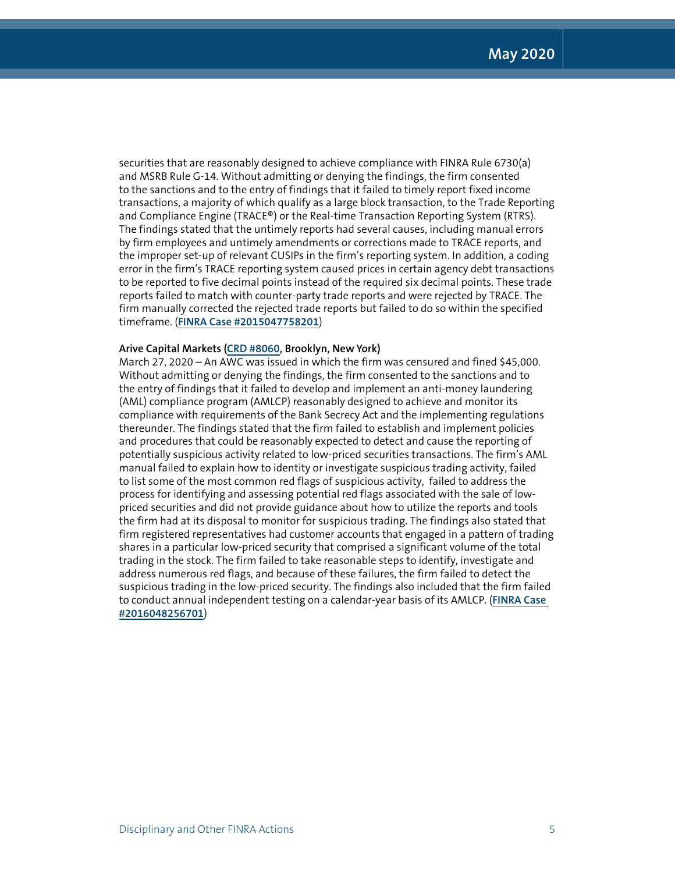securities that are reasonably designed to achieve compliance with FINRA Rule 6730(a) and MSRB Rule G-14. Without admitting or denying the findings, the firm consented to the sanctions and to the entry of findings that it failed to timely report fixed income transactions, a majority of which qualify as a large block transaction, to the Trade Reporting and Compliance Engine (TRACE®) or the Real-time Transaction Reporting System (RTRS). The findings stated that the untimely reports had several causes, including manual errors by firm employees and untimely amendments or corrections made to TRACE reports, and the improper set-up of relevant CUSIPs in the firm's reporting system. In addition, a coding error in the firm's TRACE reporting system caused prices in certain agency debt transactions to be reported to five decimal points instead of the required six decimal points. These trade reports failed to match with counter-party trade reports and were rejected by TRACE. The firm manually corrected the rejected trade reports but failed to do so within the specified timeframe. (**[FINRA Case #2015047758201](https://www.finra.org/rules-guidance/oversight-enforcement/finra-disciplinary-actions?search=2015047758201)**)

#### **Arive Capital Markets [\(CRD #8060,](http://brokercheck.finra.org/firm/8060) Brooklyn, New York)**

March 27, 2020 – An AWC was issued in which the firm was censured and fined \$45,000. Without admitting or denying the findings, the firm consented to the sanctions and to the entry of findings that it failed to develop and implement an anti-money laundering (AML) compliance program (AMLCP) reasonably designed to achieve and monitor its compliance with requirements of the Bank Secrecy Act and the implementing regulations thereunder. The findings stated that the firm failed to establish and implement policies and procedures that could be reasonably expected to detect and cause the reporting of potentially suspicious activity related to low-priced securities transactions. The firm's AML manual failed to explain how to identity or investigate suspicious trading activity, failed to list some of the most common red flags of suspicious activity, failed to address the process for identifying and assessing potential red flags associated with the sale of lowpriced securities and did not provide guidance about how to utilize the reports and tools the firm had at its disposal to monitor for suspicious trading. The findings also stated that firm registered representatives had customer accounts that engaged in a pattern of trading shares in a particular low-priced security that comprised a significant volume of the total trading in the stock. The firm failed to take reasonable steps to identify, investigate and address numerous red flags, and because of these failures, the firm failed to detect the suspicious trading in the low-priced security. The findings also included that the firm failed to conduct annual independent testing on a calendar-year basis of its AMLCP. (**[FINRA Case](https://www.finra.org/rules-guidance/oversight-enforcement/finra-disciplinary-actions?search=2016048256701)  [#2016048256701](https://www.finra.org/rules-guidance/oversight-enforcement/finra-disciplinary-actions?search=2016048256701)**)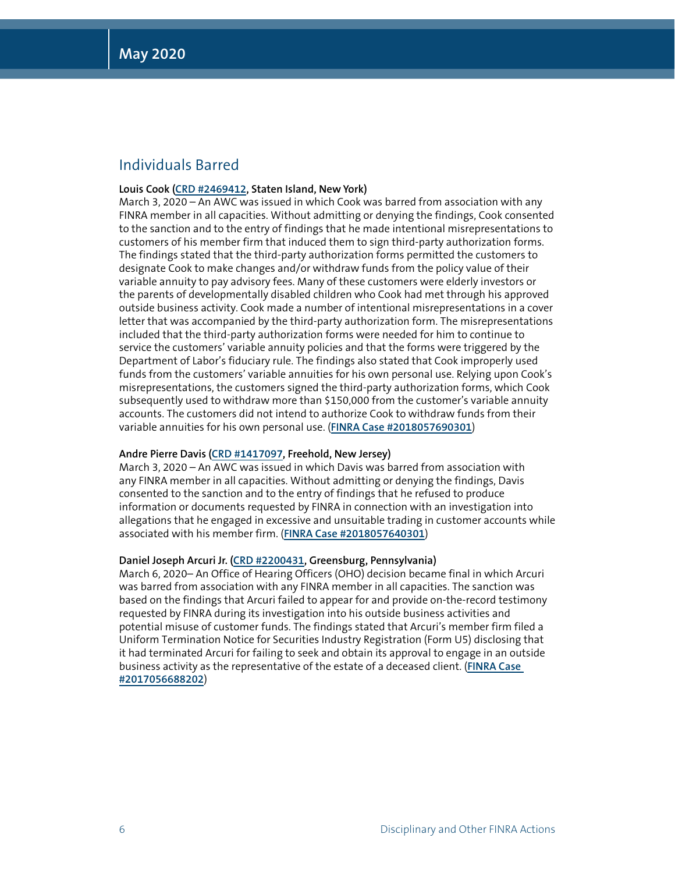## Individuals Barred

#### **Louis Cook [\(CRD #2469412,](http://brokercheck.finra.org/individual/2469412) Staten Island, New York)**

March 3, 2020 – An AWC was issued in which Cook was barred from association with any FINRA member in all capacities. Without admitting or denying the findings, Cook consented to the sanction and to the entry of findings that he made intentional misrepresentations to customers of his member firm that induced them to sign third-party authorization forms. The findings stated that the third-party authorization forms permitted the customers to designate Cook to make changes and/or withdraw funds from the policy value of their variable annuity to pay advisory fees. Many of these customers were elderly investors or the parents of developmentally disabled children who Cook had met through his approved outside business activity. Cook made a number of intentional misrepresentations in a cover letter that was accompanied by the third-party authorization form. The misrepresentations included that the third-party authorization forms were needed for him to continue to service the customers' variable annuity policies and that the forms were triggered by the Department of Labor's fiduciary rule. The findings also stated that Cook improperly used funds from the customers' variable annuities for his own personal use. Relying upon Cook's misrepresentations, the customers signed the third-party authorization forms, which Cook subsequently used to withdraw more than \$150,000 from the customer's variable annuity accounts. The customers did not intend to authorize Cook to withdraw funds from their variable annuities for his own personal use. (**[FINRA Case #2018057690301](https://www.finra.org/rules-guidance/oversight-enforcement/finra-disciplinary-actions?search=2018057690301)**)

#### **Andre Pierre Davis [\(CRD #1417097,](http://brokercheck.finra.org/individual/1417097) Freehold, New Jersey)**

March 3, 2020 – An AWC was issued in which Davis was barred from association with any FINRA member in all capacities. Without admitting or denying the findings, Davis consented to the sanction and to the entry of findings that he refused to produce information or documents requested by FINRA in connection with an investigation into allegations that he engaged in excessive and unsuitable trading in customer accounts while associated with his member firm. (**[FINRA Case #2018057640301](https://www.finra.org/rules-guidance/oversight-enforcement/finra-disciplinary-actions?search=2018057640301)**)

#### **Daniel Joseph Arcuri Jr. ([CRD #2200431](http://brokercheck.finra.org/individual/2200431), Greensburg, Pennsylvania)**

March 6, 2020– An Office of Hearing Officers (OHO) decision became final in which Arcuri was barred from association with any FINRA member in all capacities. The sanction was based on the findings that Arcuri failed to appear for and provide on-the-record testimony requested by FINRA during its investigation into his outside business activities and potential misuse of customer funds. The findings stated that Arcuri's member firm filed a Uniform Termination Notice for Securities Industry Registration (Form U5) disclosing that it had terminated Arcuri for failing to seek and obtain its approval to engage in an outside business activity as the representative of the estate of a deceased client. (**[FINRA Case](https://www.finra.org/rules-guidance/oversight-enforcement/finra-disciplinary-actions?search=2017056688202)  [#2017056688202](https://www.finra.org/rules-guidance/oversight-enforcement/finra-disciplinary-actions?search=2017056688202)**)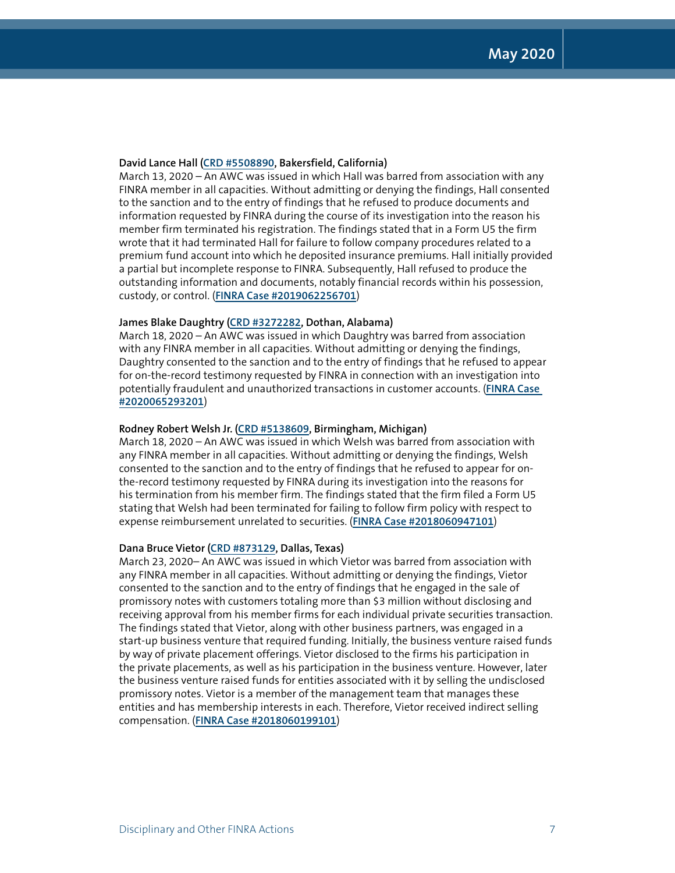#### **David Lance Hall [\(CRD #5508890,](http://brokercheck.finra.org/individual/5508890) Bakersfield, California)**

March 13, 2020 – An AWC was issued in which Hall was barred from association with any FINRA member in all capacities. Without admitting or denying the findings, Hall consented to the sanction and to the entry of findings that he refused to produce documents and information requested by FINRA during the course of its investigation into the reason his member firm terminated his registration. The findings stated that in a Form U5 the firm wrote that it had terminated Hall for failure to follow company procedures related to a premium fund account into which he deposited insurance premiums. Hall initially provided a partial but incomplete response to FINRA. Subsequently, Hall refused to produce the outstanding information and documents, notably financial records within his possession, custody, or control. (**[FINRA Case #2019062256701](https://www.finra.org/rules-guidance/oversight-enforcement/finra-disciplinary-actions?search=2019062256701)**)

#### **James Blake Daughtry ([CRD #3272282](http://brokercheck.finra.org/individual/3272282), Dothan, Alabama)**

March 18, 2020 – An AWC was issued in which Daughtry was barred from association with any FINRA member in all capacities. Without admitting or denying the findings, Daughtry consented to the sanction and to the entry of findings that he refused to appear for on-the-record testimony requested by FINRA in connection with an investigation into potentially fraudulent and unauthorized transactions in customer accounts. (**[FINRA Case](https://www.finra.org/rules-guidance/oversight-enforcement/finra-disciplinary-actions?search=2020065293201)  [#2020065293201](https://www.finra.org/rules-guidance/oversight-enforcement/finra-disciplinary-actions?search=2020065293201)**)

#### **Rodney Robert Welsh Jr. [\(CRD #5138609](http://brokercheck.finra.org/individual/5138609), Birmingham, Michigan)**

March 18, 2020 – An AWC was issued in which Welsh was barred from association with any FINRA member in all capacities. Without admitting or denying the findings, Welsh consented to the sanction and to the entry of findings that he refused to appear for onthe-record testimony requested by FINRA during its investigation into the reasons for his termination from his member firm. The findings stated that the firm filed a Form U5 stating that Welsh had been terminated for failing to follow firm policy with respect to expense reimbursement unrelated to securities. (**[FINRA Case #2018060947101](https://www.finra.org/rules-guidance/oversight-enforcement/finra-disciplinary-actions?search=2018060947101)**)

#### **Dana Bruce Vietor [\(CRD #873129,](http://brokercheck.finra.org/individual/873129) Dallas, Texas)**

March 23, 2020– An AWC was issued in which Vietor was barred from association with any FINRA member in all capacities. Without admitting or denying the findings, Vietor consented to the sanction and to the entry of findings that he engaged in the sale of promissory notes with customers totaling more than \$3 million without disclosing and receiving approval from his member firms for each individual private securities transaction. The findings stated that Vietor, along with other business partners, was engaged in a start-up business venture that required funding. Initially, the business venture raised funds by way of private placement offerings. Vietor disclosed to the firms his participation in the private placements, as well as his participation in the business venture. However, later the business venture raised funds for entities associated with it by selling the undisclosed promissory notes. Vietor is a member of the management team that manages these entities and has membership interests in each. Therefore, Vietor received indirect selling compensation. (**[FINRA Case #2018060199101](https://www.finra.org/rules-guidance/oversight-enforcement/finra-disciplinary-actions?search=2018060199101)**)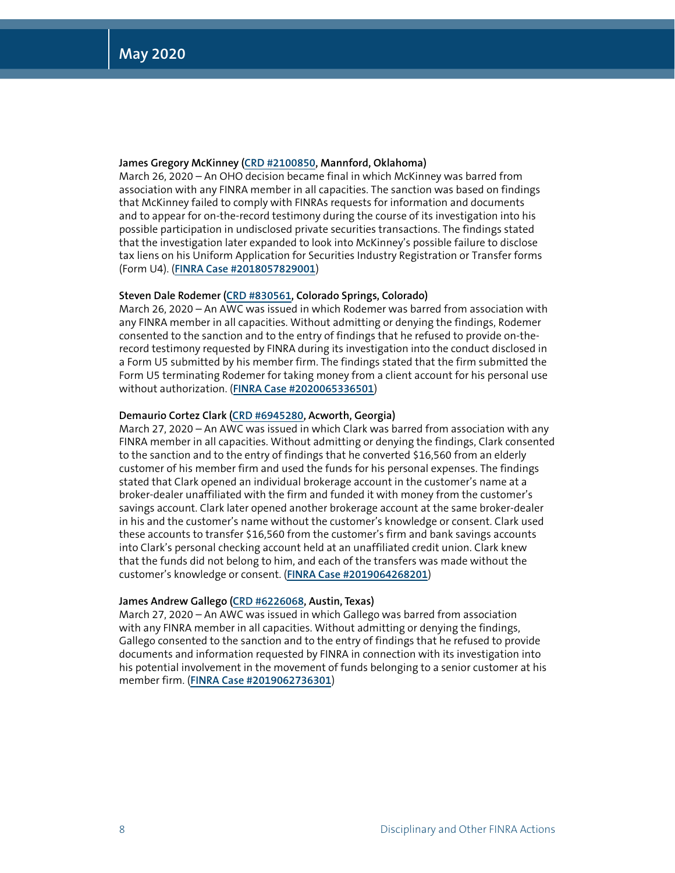#### **James Gregory McKinney ([CRD #2100850](http://brokercheck.finra.org/individual/2100850), Mannford, Oklahoma)**

March 26, 2020 – An OHO decision became final in which McKinney was barred from association with any FINRA member in all capacities. The sanction was based on findings that McKinney failed to comply with FINRAs requests for information and documents and to appear for on-the-record testimony during the course of its investigation into his possible participation in undisclosed private securities transactions. The findings stated that the investigation later expanded to look into McKinney's possible failure to disclose tax liens on his Uniform Application for Securities Industry Registration or Transfer forms (Form U4). (**[FINRA Case #2018057829001](https://www.finra.org/rules-guidance/oversight-enforcement/finra-disciplinary-actions?search=2018057829001)**)

#### **Steven Dale Rodemer [\(CRD #830561](http://brokercheck.finra.org/individual/830561), Colorado Springs, Colorado)**

March 26, 2020 – An AWC was issued in which Rodemer was barred from association with any FINRA member in all capacities. Without admitting or denying the findings, Rodemer consented to the sanction and to the entry of findings that he refused to provide on-therecord testimony requested by FINRA during its investigation into the conduct disclosed in a Form U5 submitted by his member firm. The findings stated that the firm submitted the Form U5 terminating Rodemer for taking money from a client account for his personal use without authorization. (**[FINRA Case #2020065336501](https://www.finra.org/rules-guidance/oversight-enforcement/finra-disciplinary-actions?search=2020065336501)**)

#### **Demaurio Cortez Clark [\(CRD #6945280](http://brokercheck.finra.org/individual/6945280), Acworth, Georgia)**

March 27, 2020 – An AWC was issued in which Clark was barred from association with any FINRA member in all capacities. Without admitting or denying the findings, Clark consented to the sanction and to the entry of findings that he converted \$16,560 from an elderly customer of his member firm and used the funds for his personal expenses. The findings stated that Clark opened an individual brokerage account in the customer's name at a broker-dealer unaffiliated with the firm and funded it with money from the customer's savings account. Clark later opened another brokerage account at the same broker-dealer in his and the customer's name without the customer's knowledge or consent. Clark used these accounts to transfer \$16,560 from the customer's firm and bank savings accounts into Clark's personal checking account held at an unaffiliated credit union. Clark knew that the funds did not belong to him, and each of the transfers was made without the customer's knowledge or consent. (**[FINRA Case #2019064268201](https://www.finra.org/rules-guidance/oversight-enforcement/finra-disciplinary-actions?search=2019064268201)**)

#### **James Andrew Gallego [\(CRD #6226068,](http://brokercheck.finra.org/individual/6226068) Austin, Texas)**

March 27, 2020 – An AWC was issued in which Gallego was barred from association with any FINRA member in all capacities. Without admitting or denying the findings, Gallego consented to the sanction and to the entry of findings that he refused to provide documents and information requested by FINRA in connection with its investigation into his potential involvement in the movement of funds belonging to a senior customer at his member firm. (**[FINRA Case #2019062736301](https://www.finra.org/rules-guidance/oversight-enforcement/finra-disciplinary-actions?search=2019062736301)**)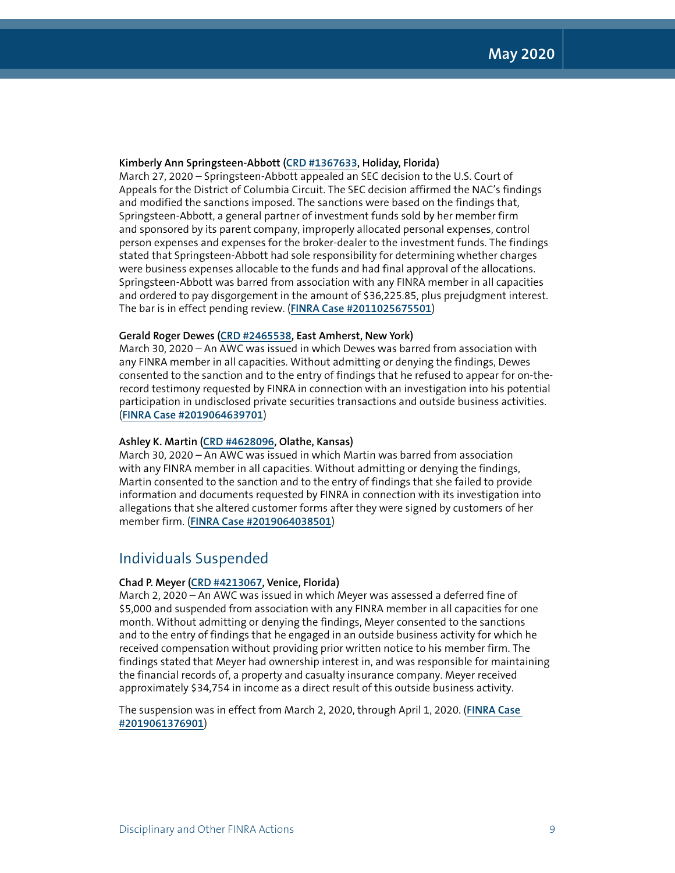#### **Kimberly Ann Springsteen-Abbott ([CRD #1367633](http://brokercheck.finra.org/individual/1367633), Holiday, Florida)**

March 27, 2020 – Springsteen-Abbott appealed an SEC decision to the U.S. Court of Appeals for the District of Columbia Circuit. The SEC decision affirmed the NAC's findings and modified the sanctions imposed. The sanctions were based on the findings that, Springsteen-Abbott, a general partner of investment funds sold by her member firm and sponsored by its parent company, improperly allocated personal expenses, control person expenses and expenses for the broker-dealer to the investment funds. The findings stated that Springsteen-Abbott had sole responsibility for determining whether charges were business expenses allocable to the funds and had final approval of the allocations. Springsteen-Abbott was barred from association with any FINRA member in all capacities and ordered to pay disgorgement in the amount of \$36,225.85, plus prejudgment interest. The bar is in effect pending review. (**[FINRA Case #2011025675501](https://www.finra.org/rules-guidance/oversight-enforcement/finra-disciplinary-actions?search=2011025675501)**)

#### **Gerald Roger Dewes [\(CRD #2465538](http://brokercheck.finra.org/individual/2465538), East Amherst, New York)**

March 30, 2020 – An AWC was issued in which Dewes was barred from association with any FINRA member in all capacities. Without admitting or denying the findings, Dewes consented to the sanction and to the entry of findings that he refused to appear for on-therecord testimony requested by FINRA in connection with an investigation into his potential participation in undisclosed private securities transactions and outside business activities. (**[FINRA Case #2019064639701](https://www.finra.org/rules-guidance/oversight-enforcement/finra-disciplinary-actions?search=2019064639701)**)

#### **Ashley K. Martin [\(CRD #4628096,](http://brokercheck.finra.org/individual/4628096) Olathe, Kansas)**

March 30, 2020 – An AWC was issued in which Martin was barred from association with any FINRA member in all capacities. Without admitting or denying the findings, Martin consented to the sanction and to the entry of findings that she failed to provide information and documents requested by FINRA in connection with its investigation into allegations that she altered customer forms after they were signed by customers of her member firm. (**[FINRA Case #2019064038501](https://www.finra.org/rules-guidance/oversight-enforcement/finra-disciplinary-actions?search=2019064038501)**)

### Individuals Suspended

#### **Chad P. Meyer [\(CRD #4213067,](http://brokercheck.finra.org/individual/4213067) Venice, Florida)**

March 2, 2020 – An AWC was issued in which Meyer was assessed a deferred fine of \$5,000 and suspended from association with any FINRA member in all capacities for one month. Without admitting or denying the findings, Meyer consented to the sanctions and to the entry of findings that he engaged in an outside business activity for which he received compensation without providing prior written notice to his member firm. The findings stated that Meyer had ownership interest in, and was responsible for maintaining the financial records of, a property and casualty insurance company. Meyer received approximately \$34,754 in income as a direct result of this outside business activity.

The suspension was in effect from March 2, 2020, through April 1, 2020. (**[FINRA Case](https://www.finra.org/rules-guidance/oversight-enforcement/finra-disciplinary-actions?search=2019061376901)  [#2019061376901](https://www.finra.org/rules-guidance/oversight-enforcement/finra-disciplinary-actions?search=2019061376901)**)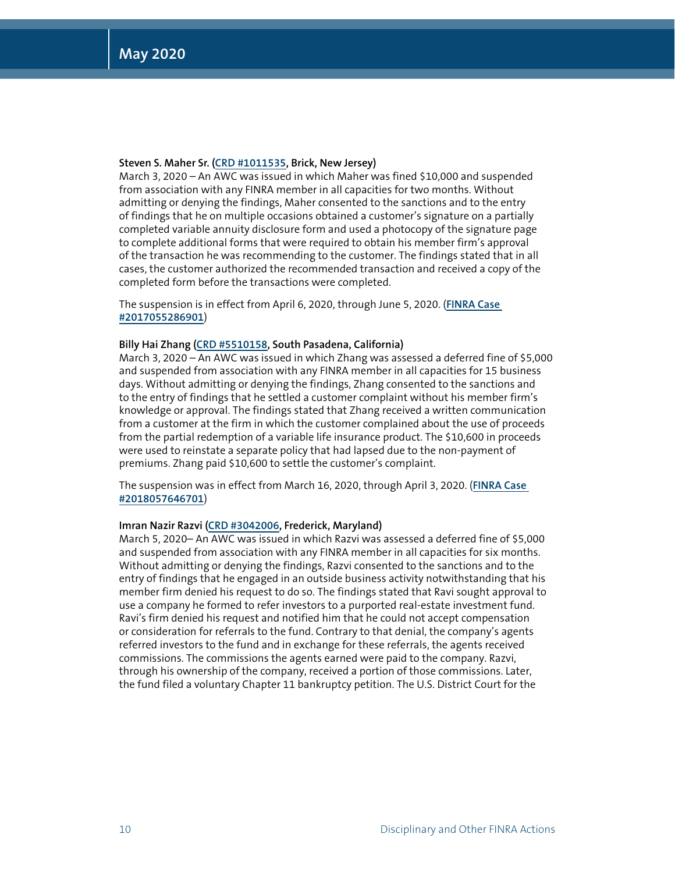#### **Steven S. Maher Sr. [\(CRD #1011535,](http://brokercheck.finra.org/individual/1011535) Brick, New Jersey)**

March 3, 2020 – An AWC was issued in which Maher was fined \$10,000 and suspended from association with any FINRA member in all capacities for two months. Without admitting or denying the findings, Maher consented to the sanctions and to the entry of findings that he on multiple occasions obtained a customer's signature on a partially completed variable annuity disclosure form and used a photocopy of the signature page to complete additional forms that were required to obtain his member firm's approval of the transaction he was recommending to the customer. The findings stated that in all cases, the customer authorized the recommended transaction and received a copy of the completed form before the transactions were completed.

The suspension is in effect from April 6, 2020, through June 5, 2020. (**[FINRA Case](https://www.finra.org/rules-guidance/oversight-enforcement/finra-disciplinary-actions?search=2017055286901)  [#2017055286901](https://www.finra.org/rules-guidance/oversight-enforcement/finra-disciplinary-actions?search=2017055286901)**)

#### **Billy Hai Zhang [\(CRD #5510158,](http://brokercheck.finra.org/individual/5510158) South Pasadena, California)**

March 3, 2020 – An AWC was issued in which Zhang was assessed a deferred fine of \$5,000 and suspended from association with any FINRA member in all capacities for 15 business days. Without admitting or denying the findings, Zhang consented to the sanctions and to the entry of findings that he settled a customer complaint without his member firm's knowledge or approval. The findings stated that Zhang received a written communication from a customer at the firm in which the customer complained about the use of proceeds from the partial redemption of a variable life insurance product. The \$10,600 in proceeds were used to reinstate a separate policy that had lapsed due to the non-payment of premiums. Zhang paid \$10,600 to settle the customer's complaint.

The suspension was in effect from March 16, 2020, through April 3, 2020. (**[FINRA Case](https://www.finra.org/rules-guidance/oversight-enforcement/finra-disciplinary-actions?search=2018057646701)  [#2018057646701](https://www.finra.org/rules-guidance/oversight-enforcement/finra-disciplinary-actions?search=2018057646701)**)

#### **Imran Nazir Razvi [\(CRD #3042006](http://brokercheck.finra.org/individual/3042006), Frederick, Maryland)**

March 5, 2020– An AWC was issued in which Razvi was assessed a deferred fine of \$5,000 and suspended from association with any FINRA member in all capacities for six months. Without admitting or denying the findings, Razvi consented to the sanctions and to the entry of findings that he engaged in an outside business activity notwithstanding that his member firm denied his request to do so. The findings stated that Ravi sought approval to use a company he formed to refer investors to a purported real-estate investment fund. Ravi's firm denied his request and notified him that he could not accept compensation or consideration for referrals to the fund. Contrary to that denial, the company's agents referred investors to the fund and in exchange for these referrals, the agents received commissions. The commissions the agents earned were paid to the company. Razvi, through his ownership of the company, received a portion of those commissions. Later, the fund filed a voluntary Chapter 11 bankruptcy petition. The U.S. District Court for the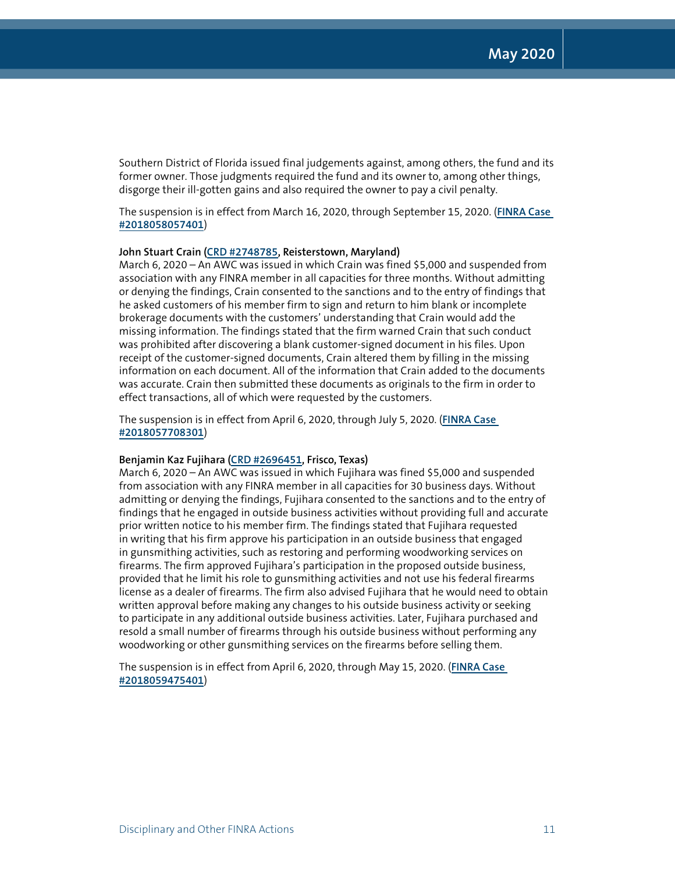Southern District of Florida issued final judgements against, among others, the fund and its former owner. Those judgments required the fund and its owner to, among other things, disgorge their ill-gotten gains and also required the owner to pay a civil penalty.

The suspension is in effect from March 16, 2020, through September 15, 2020. (**[FINRA Case](https://www.finra.org/rules-guidance/oversight-enforcement/finra-disciplinary-actions?search=2018058057401)  [#2018058057401](https://www.finra.org/rules-guidance/oversight-enforcement/finra-disciplinary-actions?search=2018058057401)**)

#### **John Stuart Crain ([CRD #2748785](http://brokercheck.finra.org/individual/2748785), Reisterstown, Maryland)**

March 6, 2020 – An AWC was issued in which Crain was fined \$5,000 and suspended from association with any FINRA member in all capacities for three months. Without admitting or denying the findings, Crain consented to the sanctions and to the entry of findings that he asked customers of his member firm to sign and return to him blank or incomplete brokerage documents with the customers' understanding that Crain would add the missing information. The findings stated that the firm warned Crain that such conduct was prohibited after discovering a blank customer-signed document in his files. Upon receipt of the customer-signed documents, Crain altered them by filling in the missing information on each document. All of the information that Crain added to the documents was accurate. Crain then submitted these documents as originals to the firm in order to effect transactions, all of which were requested by the customers.

The suspension is in effect from April 6, 2020, through July 5, 2020. (**[FINRA Case](https://www.finra.org/rules-guidance/oversight-enforcement/finra-disciplinary-actions?search=2018057708301)  [#2018057708301](https://www.finra.org/rules-guidance/oversight-enforcement/finra-disciplinary-actions?search=2018057708301)**)

#### **Benjamin Kaz Fujihara ([CRD #2696451](http://brokercheck.finra.org/individual/2696451), Frisco, Texas)**

March 6, 2020 – An AWC was issued in which Fujihara was fined \$5,000 and suspended from association with any FINRA member in all capacities for 30 business days. Without admitting or denying the findings, Fujihara consented to the sanctions and to the entry of findings that he engaged in outside business activities without providing full and accurate prior written notice to his member firm. The findings stated that Fujihara requested in writing that his firm approve his participation in an outside business that engaged in gunsmithing activities, such as restoring and performing woodworking services on firearms. The firm approved Fujihara's participation in the proposed outside business, provided that he limit his role to gunsmithing activities and not use his federal firearms license as a dealer of firearms. The firm also advised Fujihara that he would need to obtain written approval before making any changes to his outside business activity or seeking to participate in any additional outside business activities. Later, Fujihara purchased and resold a small number of firearms through his outside business without performing any woodworking or other gunsmithing services on the firearms before selling them.

The suspension is in effect from April 6, 2020, through May 15, 2020. (**[FINRA Case](https://www.finra.org/rules-guidance/oversight-enforcement/finra-disciplinary-actions?search=2018059475401)  [#2018059475401](https://www.finra.org/rules-guidance/oversight-enforcement/finra-disciplinary-actions?search=2018059475401)**)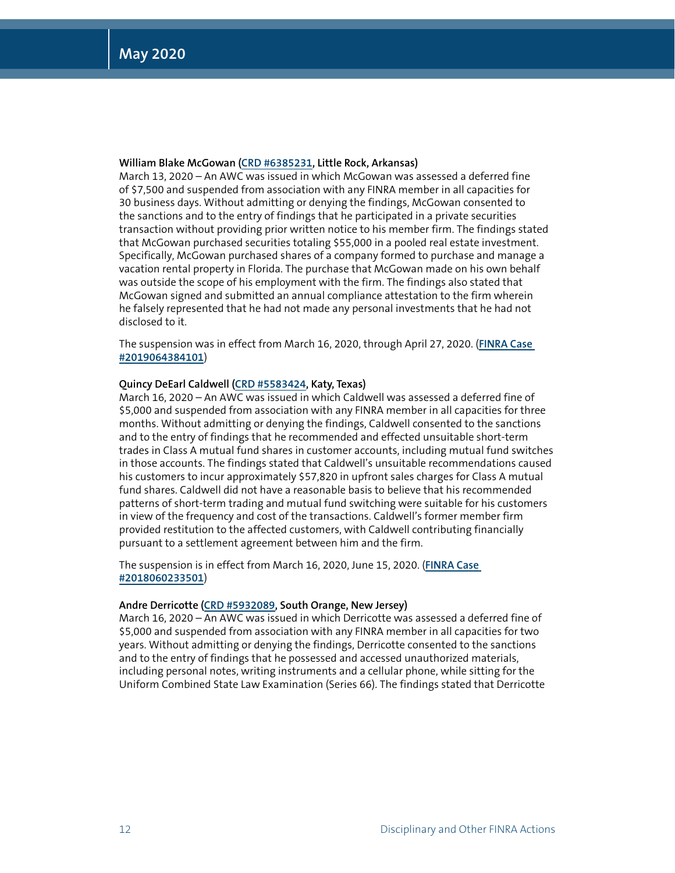#### **William Blake McGowan [\(CRD #6385231](http://brokercheck.finra.org/individual/6385231), Little Rock, Arkansas)**

March 13, 2020 – An AWC was issued in which McGowan was assessed a deferred fine of \$7,500 and suspended from association with any FINRA member in all capacities for 30 business days. Without admitting or denying the findings, McGowan consented to the sanctions and to the entry of findings that he participated in a private securities transaction without providing prior written notice to his member firm. The findings stated that McGowan purchased securities totaling \$55,000 in a pooled real estate investment. Specifically, McGowan purchased shares of a company formed to purchase and manage a vacation rental property in Florida. The purchase that McGowan made on his own behalf was outside the scope of his employment with the firm. The findings also stated that McGowan signed and submitted an annual compliance attestation to the firm wherein he falsely represented that he had not made any personal investments that he had not disclosed to it.

The suspension was in effect from March 16, 2020, through April 27, 2020. (**[FINRA Case](https://www.finra.org/rules-guidance/oversight-enforcement/finra-disciplinary-actions?search=2019064384101)  [#2019064384101](https://www.finra.org/rules-guidance/oversight-enforcement/finra-disciplinary-actions?search=2019064384101)**)

#### **Quincy DeEarl Caldwell [\(CRD #5583424,](http://brokercheck.finra.org/individual/5583424) Katy, Texas)**

March 16, 2020 – An AWC was issued in which Caldwell was assessed a deferred fine of \$5,000 and suspended from association with any FINRA member in all capacities for three months. Without admitting or denying the findings, Caldwell consented to the sanctions and to the entry of findings that he recommended and effected unsuitable short-term trades in Class A mutual fund shares in customer accounts, including mutual fund switches in those accounts. The findings stated that Caldwell's unsuitable recommendations caused his customers to incur approximately \$57,820 in upfront sales charges for Class A mutual fund shares. Caldwell did not have a reasonable basis to believe that his recommended patterns of short-term trading and mutual fund switching were suitable for his customers in view of the frequency and cost of the transactions. Caldwell's former member firm provided restitution to the affected customers, with Caldwell contributing financially pursuant to a settlement agreement between him and the firm.

The suspension is in effect from March 16, 2020, June 15, 2020. (**[FINRA Case](https://www.finra.org/rules-guidance/oversight-enforcement/finra-disciplinary-actions?search=2018060233501)  [#2018060233501](https://www.finra.org/rules-guidance/oversight-enforcement/finra-disciplinary-actions?search=2018060233501)**)

#### **Andre Derricotte [\(CRD #5932089,](http://brokercheck.finra.org/individual/5932089) South Orange, New Jersey)**

March 16, 2020 – An AWC was issued in which Derricotte was assessed a deferred fine of \$5,000 and suspended from association with any FINRA member in all capacities for two years. Without admitting or denying the findings, Derricotte consented to the sanctions and to the entry of findings that he possessed and accessed unauthorized materials, including personal notes, writing instruments and a cellular phone, while sitting for the Uniform Combined State Law Examination (Series 66). The findings stated that Derricotte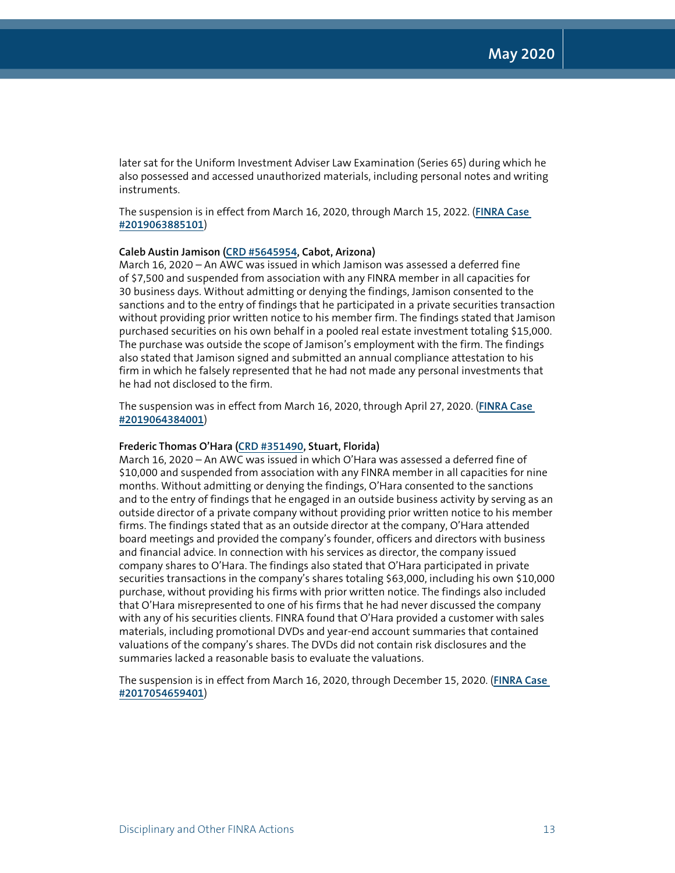later sat for the Uniform Investment Adviser Law Examination (Series 65) during which he also possessed and accessed unauthorized materials, including personal notes and writing instruments.

The suspension is in effect from March 16, 2020, through March 15, 2022. (**[FINRA Case](https://www.finra.org/rules-guidance/oversight-enforcement/finra-disciplinary-actions?search=2019063885101)  [#2019063885101](https://www.finra.org/rules-guidance/oversight-enforcement/finra-disciplinary-actions?search=2019063885101)**)

#### **Caleb Austin Jamison [\(CRD #5645954,](http://brokercheck.finra.org/individual/5645954) Cabot, Arizona)**

March 16, 2020 – An AWC was issued in which Jamison was assessed a deferred fine of \$7,500 and suspended from association with any FINRA member in all capacities for 30 business days. Without admitting or denying the findings, Jamison consented to the sanctions and to the entry of findings that he participated in a private securities transaction without providing prior written notice to his member firm. The findings stated that Jamison purchased securities on his own behalf in a pooled real estate investment totaling \$15,000. The purchase was outside the scope of Jamison's employment with the firm. The findings also stated that Jamison signed and submitted an annual compliance attestation to his firm in which he falsely represented that he had not made any personal investments that he had not disclosed to the firm.

The suspension was in effect from March 16, 2020, through April 27, 2020. (**[FINRA Case](https://www.finra.org/rules-guidance/oversight-enforcement/finra-disciplinary-actions?search=2019064384001)  [#2019064384001](https://www.finra.org/rules-guidance/oversight-enforcement/finra-disciplinary-actions?search=2019064384001)**)

#### **Frederic Thomas O'Hara [\(CRD #351490](http://brokercheck.finra.org/individual/351490), Stuart, Florida)**

March 16, 2020 – An AWC was issued in which O'Hara was assessed a deferred fine of \$10,000 and suspended from association with any FINRA member in all capacities for nine months. Without admitting or denying the findings, O'Hara consented to the sanctions and to the entry of findings that he engaged in an outside business activity by serving as an outside director of a private company without providing prior written notice to his member firms. The findings stated that as an outside director at the company, O'Hara attended board meetings and provided the company's founder, officers and directors with business and financial advice. In connection with his services as director, the company issued company shares to O'Hara. The findings also stated that O'Hara participated in private securities transactions in the company's shares totaling \$63,000, including his own \$10,000 purchase, without providing his firms with prior written notice. The findings also included that O'Hara misrepresented to one of his firms that he had never discussed the company with any of his securities clients. FINRA found that O'Hara provided a customer with sales materials, including promotional DVDs and year-end account summaries that contained valuations of the company's shares. The DVDs did not contain risk disclosures and the summaries lacked a reasonable basis to evaluate the valuations.

The suspension is in effect from March 16, 2020, through December 15, 2020. (**[FINRA Case](https://www.finra.org/rules-guidance/oversight-enforcement/finra-disciplinary-actions?search=2017054659401)  [#2017054659401](https://www.finra.org/rules-guidance/oversight-enforcement/finra-disciplinary-actions?search=2017054659401)**)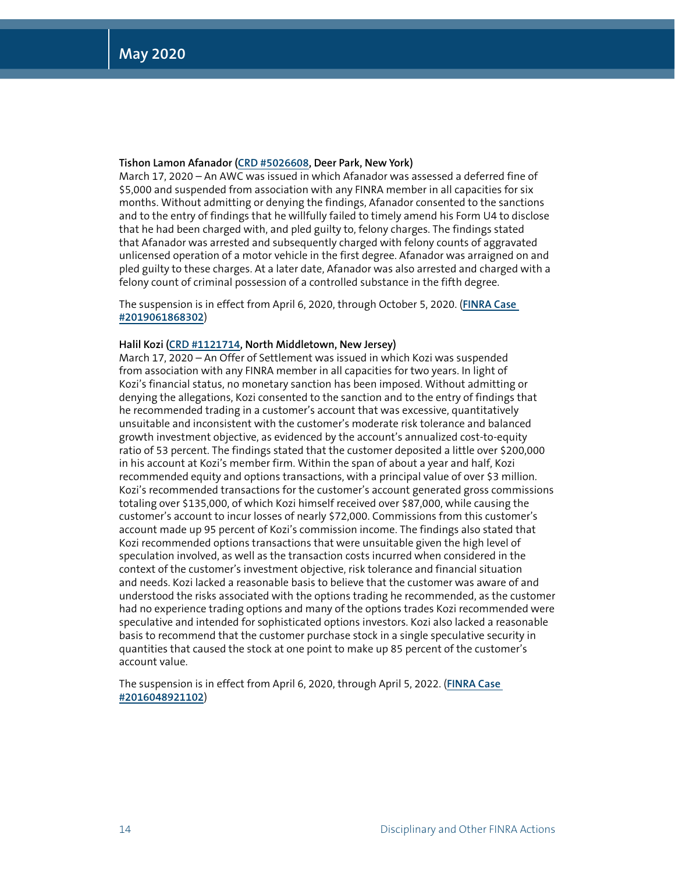#### **Tishon Lamon Afanador ([CRD #5026608](http://brokercheck.finra.org/individual/5026608), Deer Park, New York)**

March 17, 2020 – An AWC was issued in which Afanador was assessed a deferred fine of \$5,000 and suspended from association with any FINRA member in all capacities for six months. Without admitting or denying the findings, Afanador consented to the sanctions and to the entry of findings that he willfully failed to timely amend his Form U4 to disclose that he had been charged with, and pled guilty to, felony charges. The findings stated that Afanador was arrested and subsequently charged with felony counts of aggravated unlicensed operation of a motor vehicle in the first degree. Afanador was arraigned on and pled guilty to these charges. At a later date, Afanador was also arrested and charged with a felony count of criminal possession of a controlled substance in the fifth degree.

The suspension is in effect from April 6, 2020, through October 5, 2020. (**[FINRA Case](https://www.finra.org/rules-guidance/oversight-enforcement/finra-disciplinary-actions?search=2019061868302)  [#2019061868302](https://www.finra.org/rules-guidance/oversight-enforcement/finra-disciplinary-actions?search=2019061868302)**)

#### **Halil Kozi [\(CRD #1121714,](http://brokercheck.finra.org/individual/1121714) North Middletown, New Jersey)**

March 17, 2020 – An Offer of Settlement was issued in which Kozi was suspended from association with any FINRA member in all capacities for two years. In light of Kozi's financial status, no monetary sanction has been imposed. Without admitting or denying the allegations, Kozi consented to the sanction and to the entry of findings that he recommended trading in a customer's account that was excessive, quantitatively unsuitable and inconsistent with the customer's moderate risk tolerance and balanced growth investment objective, as evidenced by the account's annualized cost-to-equity ratio of 53 percent. The findings stated that the customer deposited a little over \$200,000 in his account at Kozi's member firm. Within the span of about a year and half, Kozi recommended equity and options transactions, with a principal value of over \$3 million. Kozi's recommended transactions for the customer's account generated gross commissions totaling over \$135,000, of which Kozi himself received over \$87,000, while causing the customer's account to incur losses of nearly \$72,000. Commissions from this customer's account made up 95 percent of Kozi's commission income. The findings also stated that Kozi recommended options transactions that were unsuitable given the high level of speculation involved, as well as the transaction costs incurred when considered in the context of the customer's investment objective, risk tolerance and financial situation and needs. Kozi lacked a reasonable basis to believe that the customer was aware of and understood the risks associated with the options trading he recommended, as the customer had no experience trading options and many of the options trades Kozi recommended were speculative and intended for sophisticated options investors. Kozi also lacked a reasonable basis to recommend that the customer purchase stock in a single speculative security in quantities that caused the stock at one point to make up 85 percent of the customer's account value.

The suspension is in effect from April 6, 2020, through April 5, 2022. (**[FINRA Case](https://www.finra.org/rules-guidance/oversight-enforcement/finra-disciplinary-actions?search=2016048921102)  [#2016048921102](https://www.finra.org/rules-guidance/oversight-enforcement/finra-disciplinary-actions?search=2016048921102)**)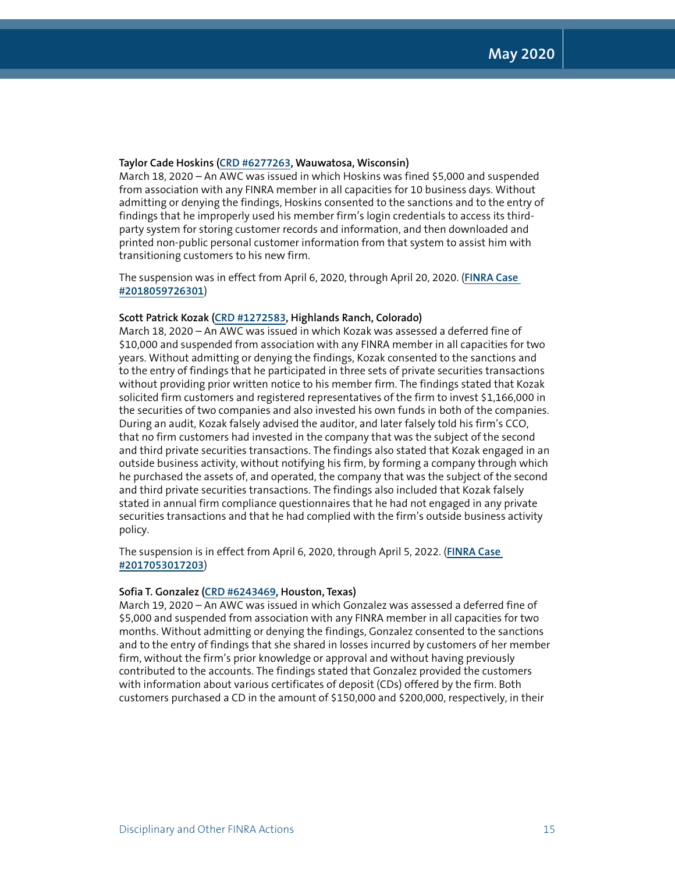#### **Taylor Cade Hoskins [\(CRD #6277263,](http://brokercheck.finra.org/individual/6277263) Wauwatosa, Wisconsin)**

March 18, 2020 – An AWC was issued in which Hoskins was fined \$5,000 and suspended from association with any FINRA member in all capacities for 10 business days. Without admitting or denying the findings, Hoskins consented to the sanctions and to the entry of findings that he improperly used his member firm's login credentials to access its thirdparty system for storing customer records and information, and then downloaded and printed non-public personal customer information from that system to assist him with transitioning customers to his new firm.

The suspension was in effect from April 6, 2020, through April 20, 2020. (**[FINRA Case](https://www.finra.org/rules-guidance/oversight-enforcement/finra-disciplinary-actions?search=2018059726301)  [#2018059726301](https://www.finra.org/rules-guidance/oversight-enforcement/finra-disciplinary-actions?search=2018059726301)**)

#### **Scott Patrick Kozak [\(CRD #1272583](http://brokercheck.finra.org/individual/1272583), Highlands Ranch, Colorado)**

March 18, 2020 – An AWC was issued in which Kozak was assessed a deferred fine of \$10,000 and suspended from association with any FINRA member in all capacities for two years. Without admitting or denying the findings, Kozak consented to the sanctions and to the entry of findings that he participated in three sets of private securities transactions without providing prior written notice to his member firm. The findings stated that Kozak solicited firm customers and registered representatives of the firm to invest \$1,166,000 in the securities of two companies and also invested his own funds in both of the companies. During an audit, Kozak falsely advised the auditor, and later falsely told his firm's CCO, that no firm customers had invested in the company that was the subject of the second and third private securities transactions. The findings also stated that Kozak engaged in an outside business activity, without notifying his firm, by forming a company through which he purchased the assets of, and operated, the company that was the subject of the second and third private securities transactions. The findings also included that Kozak falsely stated in annual firm compliance questionnaires that he had not engaged in any private securities transactions and that he had complied with the firm's outside business activity policy.

The suspension is in effect from April 6, 2020, through April 5, 2022. (**[FINRA Case](https://www.finra.org/rules-guidance/oversight-enforcement/finra-disciplinary-actions?search=2017053017203)  [#2017053017203](https://www.finra.org/rules-guidance/oversight-enforcement/finra-disciplinary-actions?search=2017053017203)**)

#### **Sofia T. Gonzalez ([CRD #6243469](http://brokercheck.finra.org/individual/6243469), Houston, Texas)**

March 19, 2020 – An AWC was issued in which Gonzalez was assessed a deferred fine of \$5,000 and suspended from association with any FINRA member in all capacities for two months. Without admitting or denying the findings, Gonzalez consented to the sanctions and to the entry of findings that she shared in losses incurred by customers of her member firm, without the firm's prior knowledge or approval and without having previously contributed to the accounts. The findings stated that Gonzalez provided the customers with information about various certificates of deposit (CDs) offered by the firm. Both customers purchased a CD in the amount of \$150,000 and \$200,000, respectively, in their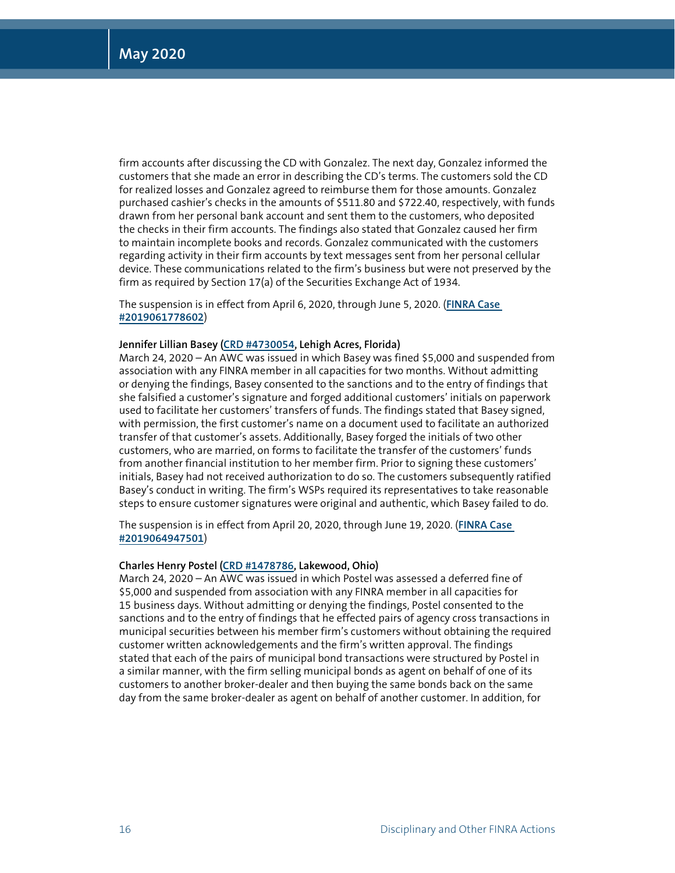firm accounts after discussing the CD with Gonzalez. The next day, Gonzalez informed the customers that she made an error in describing the CD's terms. The customers sold the CD for realized losses and Gonzalez agreed to reimburse them for those amounts. Gonzalez purchased cashier's checks in the amounts of \$511.80 and \$722.40, respectively, with funds drawn from her personal bank account and sent them to the customers, who deposited the checks in their firm accounts. The findings also stated that Gonzalez caused her firm to maintain incomplete books and records. Gonzalez communicated with the customers regarding activity in their firm accounts by text messages sent from her personal cellular device. These communications related to the firm's business but were not preserved by the firm as required by Section 17(a) of the Securities Exchange Act of 1934.

The suspension is in effect from April 6, 2020, through June 5, 2020. (**[FINRA Case](https://www.finra.org/rules-guidance/oversight-enforcement/finra-disciplinary-actions?search=2019061778602)  [#2019061778602](https://www.finra.org/rules-guidance/oversight-enforcement/finra-disciplinary-actions?search=2019061778602)**)

#### **Jennifer Lillian Basey ([CRD #4730054](http://brokercheck.finra.org/individual/4730054), Lehigh Acres, Florida)**

March 24, 2020 – An AWC was issued in which Basey was fined \$5,000 and suspended from association with any FINRA member in all capacities for two months. Without admitting or denying the findings, Basey consented to the sanctions and to the entry of findings that she falsified a customer's signature and forged additional customers' initials on paperwork used to facilitate her customers' transfers of funds. The findings stated that Basey signed, with permission, the first customer's name on a document used to facilitate an authorized transfer of that customer's assets. Additionally, Basey forged the initials of two other customers, who are married, on forms to facilitate the transfer of the customers' funds from another financial institution to her member firm. Prior to signing these customers' initials, Basey had not received authorization to do so. The customers subsequently ratified Basey's conduct in writing. The firm's WSPs required its representatives to take reasonable steps to ensure customer signatures were original and authentic, which Basey failed to do.

The suspension is in effect from April 20, 2020, through June 19, 2020. (**[FINRA Case](https://www.finra.org/rules-guidance/oversight-enforcement/finra-disciplinary-actions?search=2019064947501)  [#2019064947501](https://www.finra.org/rules-guidance/oversight-enforcement/finra-disciplinary-actions?search=2019064947501)**)

#### **Charles Henry Postel [\(CRD #1478786,](http://brokercheck.finra.org/individual/1478786) Lakewood, Ohio)**

March 24, 2020 – An AWC was issued in which Postel was assessed a deferred fine of \$5,000 and suspended from association with any FINRA member in all capacities for 15 business days. Without admitting or denying the findings, Postel consented to the sanctions and to the entry of findings that he effected pairs of agency cross transactions in municipal securities between his member firm's customers without obtaining the required customer written acknowledgements and the firm's written approval. The findings stated that each of the pairs of municipal bond transactions were structured by Postel in a similar manner, with the firm selling municipal bonds as agent on behalf of one of its customers to another broker-dealer and then buying the same bonds back on the same day from the same broker-dealer as agent on behalf of another customer. In addition, for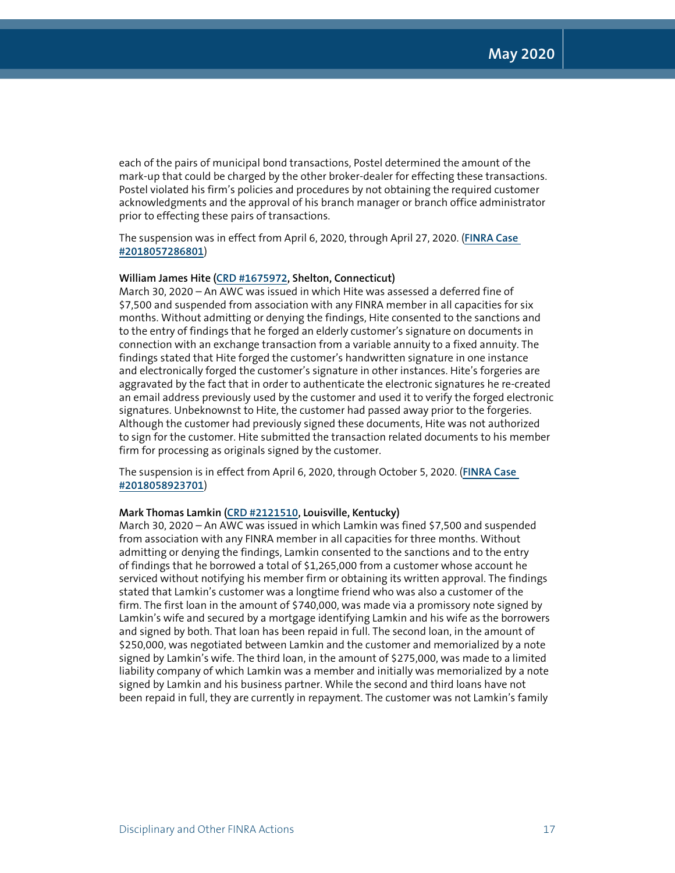each of the pairs of municipal bond transactions, Postel determined the amount of the mark-up that could be charged by the other broker-dealer for effecting these transactions. Postel violated his firm's policies and procedures by not obtaining the required customer acknowledgments and the approval of his branch manager or branch office administrator prior to effecting these pairs of transactions.

The suspension was in effect from April 6, 2020, through April 27, 2020. (**[FINRA Case](https://www.finra.org/rules-guidance/oversight-enforcement/finra-disciplinary-actions?search=2018057286801)  [#2018057286801](https://www.finra.org/rules-guidance/oversight-enforcement/finra-disciplinary-actions?search=2018057286801)**)

#### **William James Hite [\(CRD #1675972,](http://brokercheck.finra.org/individual/1675972) Shelton, Connecticut)**

March 30, 2020 – An AWC was issued in which Hite was assessed a deferred fine of \$7,500 and suspended from association with any FINRA member in all capacities for six months. Without admitting or denying the findings, Hite consented to the sanctions and to the entry of findings that he forged an elderly customer's signature on documents in connection with an exchange transaction from a variable annuity to a fixed annuity. The findings stated that Hite forged the customer's handwritten signature in one instance and electronically forged the customer's signature in other instances. Hite's forgeries are aggravated by the fact that in order to authenticate the electronic signatures he re-created an email address previously used by the customer and used it to verify the forged electronic signatures. Unbeknownst to Hite, the customer had passed away prior to the forgeries. Although the customer had previously signed these documents, Hite was not authorized to sign for the customer. Hite submitted the transaction related documents to his member firm for processing as originals signed by the customer.

The suspension is in effect from April 6, 2020, through October 5, 2020. (**[FINRA Case](https://www.finra.org/rules-guidance/oversight-enforcement/finra-disciplinary-actions?search=2018058923701)  [#2018058923701](https://www.finra.org/rules-guidance/oversight-enforcement/finra-disciplinary-actions?search=2018058923701)**)

#### **Mark Thomas Lamkin [\(CRD #2121510](http://brokercheck.finra.org/individual/2121510), Louisville, Kentucky)**

March 30, 2020 – An AWC was issued in which Lamkin was fined \$7,500 and suspended from association with any FINRA member in all capacities for three months. Without admitting or denying the findings, Lamkin consented to the sanctions and to the entry of findings that he borrowed a total of \$1,265,000 from a customer whose account he serviced without notifying his member firm or obtaining its written approval. The findings stated that Lamkin's customer was a longtime friend who was also a customer of the firm. The first loan in the amount of \$740,000, was made via a promissory note signed by Lamkin's wife and secured by a mortgage identifying Lamkin and his wife as the borrowers and signed by both. That loan has been repaid in full. The second loan, in the amount of \$250,000, was negotiated between Lamkin and the customer and memorialized by a note signed by Lamkin's wife. The third loan, in the amount of \$275,000, was made to a limited liability company of which Lamkin was a member and initially was memorialized by a note signed by Lamkin and his business partner. While the second and third loans have not been repaid in full, they are currently in repayment. The customer was not Lamkin's family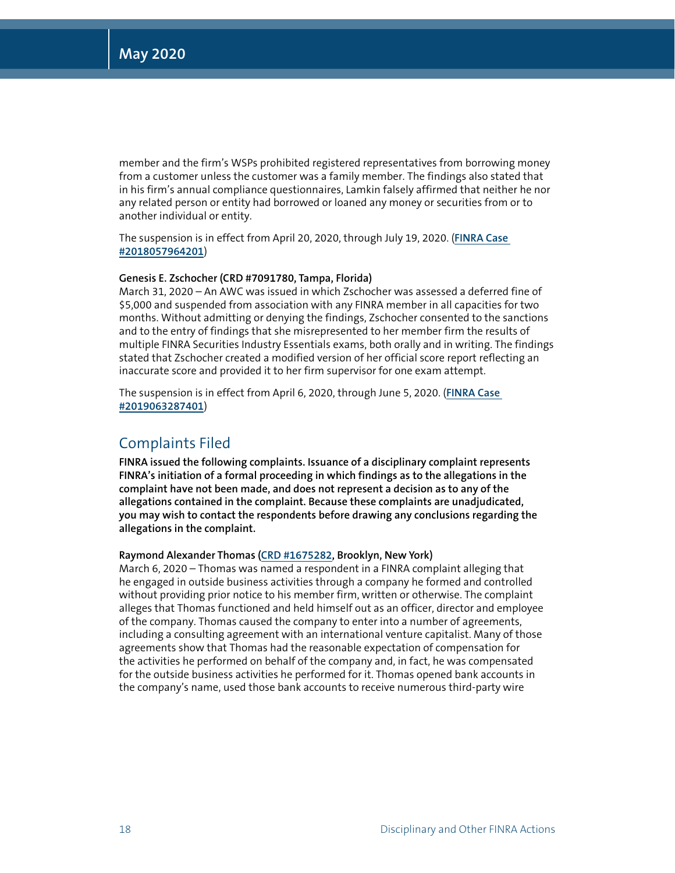member and the firm's WSPs prohibited registered representatives from borrowing money from a customer unless the customer was a family member. The findings also stated that in his firm's annual compliance questionnaires, Lamkin falsely affirmed that neither he nor any related person or entity had borrowed or loaned any money or securities from or to another individual or entity.

The suspension is in effect from April 20, 2020, through July 19, 2020. (**[FINRA Case](https://www.finra.org/rules-guidance/oversight-enforcement/finra-disciplinary-actions?search=2018057964201)  [#2018057964201](https://www.finra.org/rules-guidance/oversight-enforcement/finra-disciplinary-actions?search=2018057964201)**)

#### **Genesis E. Zschocher (CRD #7091780, Tampa, Florida)**

March 31, 2020 – An AWC was issued in which Zschocher was assessed a deferred fine of \$5,000 and suspended from association with any FINRA member in all capacities for two months. Without admitting or denying the findings, Zschocher consented to the sanctions and to the entry of findings that she misrepresented to her member firm the results of multiple FINRA Securities Industry Essentials exams, both orally and in writing. The findings stated that Zschocher created a modified version of her official score report reflecting an inaccurate score and provided it to her firm supervisor for one exam attempt.

The suspension is in effect from April 6, 2020, through June 5, 2020. (**[FINRA Case](https://www.finra.org/rules-guidance/oversight-enforcement/finra-disciplinary-actions?search=2019063287401)  [#2019063287401](https://www.finra.org/rules-guidance/oversight-enforcement/finra-disciplinary-actions?search=2019063287401)**)

#### Complaints Filed

**FINRA issued the following complaints. Issuance of a disciplinary complaint represents FINRA's initiation of a formal proceeding in which findings as to the allegations in the complaint have not been made, and does not represent a decision as to any of the allegations contained in the complaint. Because these complaints are unadjudicated, you may wish to contact the respondents before drawing any conclusions regarding the allegations in the complaint.**

#### **Raymond Alexander Thomas [\(CRD #1675282](http://brokercheck.finra.org/individual/1675282), Brooklyn, New York)**

March 6, 2020 – Thomas was named a respondent in a FINRA complaint alleging that he engaged in outside business activities through a company he formed and controlled without providing prior notice to his member firm, written or otherwise. The complaint alleges that Thomas functioned and held himself out as an officer, director and employee of the company. Thomas caused the company to enter into a number of agreements, including a consulting agreement with an international venture capitalist. Many of those agreements show that Thomas had the reasonable expectation of compensation for the activities he performed on behalf of the company and, in fact, he was compensated for the outside business activities he performed for it. Thomas opened bank accounts in the company's name, used those bank accounts to receive numerous third-party wire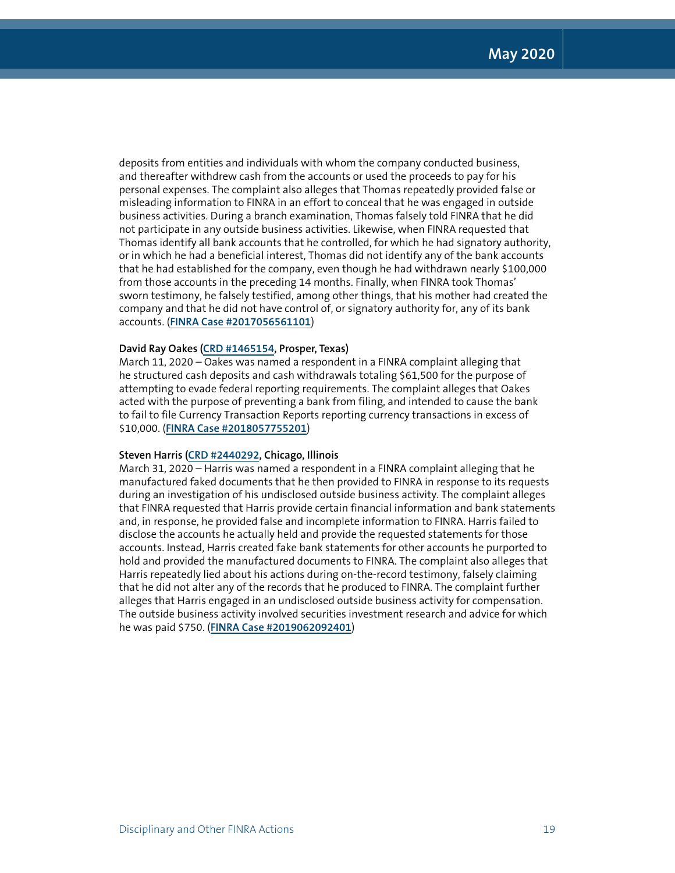deposits from entities and individuals with whom the company conducted business, and thereafter withdrew cash from the accounts or used the proceeds to pay for his personal expenses. The complaint also alleges that Thomas repeatedly provided false or misleading information to FINRA in an effort to conceal that he was engaged in outside business activities. During a branch examination, Thomas falsely told FINRA that he did not participate in any outside business activities. Likewise, when FINRA requested that Thomas identify all bank accounts that he controlled, for which he had signatory authority, or in which he had a beneficial interest, Thomas did not identify any of the bank accounts that he had established for the company, even though he had withdrawn nearly \$100,000 from those accounts in the preceding 14 months. Finally, when FINRA took Thomas' sworn testimony, he falsely testified, among other things, that his mother had created the company and that he did not have control of, or signatory authority for, any of its bank accounts. (**[FINRA Case #2017056561101](https://www.finra.org/rules-guidance/oversight-enforcement/finra-disciplinary-actions?search=2017056561101)**)

#### **David Ray Oakes [\(CRD #1465154,](http://brokercheck.finra.org/individual/1465154) Prosper, Texas)**

March 11, 2020 – Oakes was named a respondent in a FINRA complaint alleging that he structured cash deposits and cash withdrawals totaling \$61,500 for the purpose of attempting to evade federal reporting requirements. The complaint alleges that Oakes acted with the purpose of preventing a bank from filing, and intended to cause the bank to fail to file Currency Transaction Reports reporting currency transactions in excess of \$10,000. (**[FINRA Case #2018057755201](https://www.finra.org/rules-guidance/oversight-enforcement/finra-disciplinary-actions?search=2018057755201)**)

#### **Steven Harris ([CRD #2440292](http://brokercheck.finra.org/individual/2440292), Chicago, Illinois**

March 31, 2020 – Harris was named a respondent in a FINRA complaint alleging that he manufactured faked documents that he then provided to FINRA in response to its requests during an investigation of his undisclosed outside business activity. The complaint alleges that FINRA requested that Harris provide certain financial information and bank statements and, in response, he provided false and incomplete information to FINRA. Harris failed to disclose the accounts he actually held and provide the requested statements for those accounts. Instead, Harris created fake bank statements for other accounts he purported to hold and provided the manufactured documents to FINRA. The complaint also alleges that Harris repeatedly lied about his actions during on-the-record testimony, falsely claiming that he did not alter any of the records that he produced to FINRA. The complaint further alleges that Harris engaged in an undisclosed outside business activity for compensation. The outside business activity involved securities investment research and advice for which he was paid \$750. (**[FINRA Case #2019062092401](https://www.finra.org/rules-guidance/oversight-enforcement/finra-disciplinary-actions?search=2019062092401)**)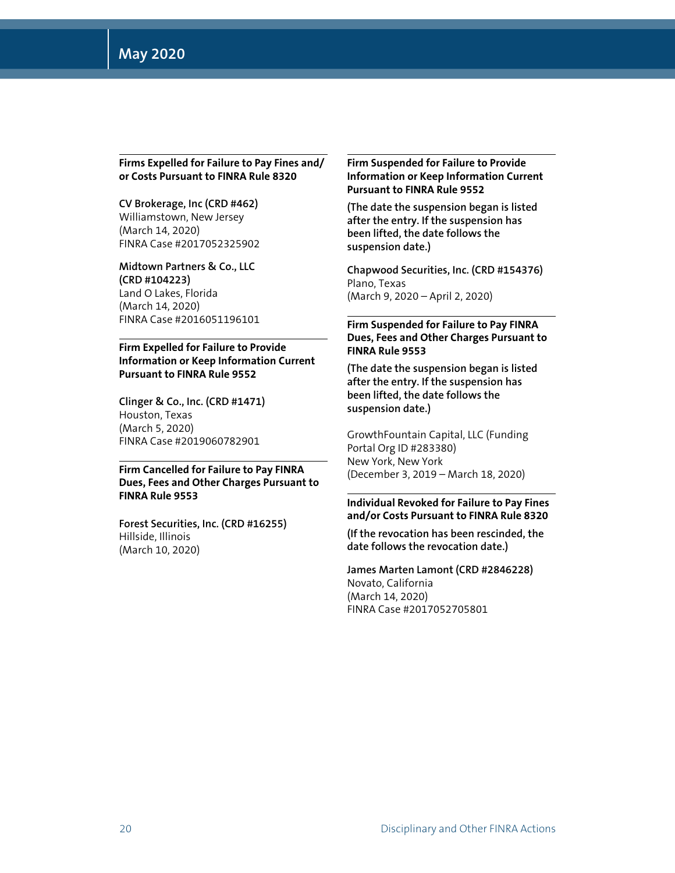#### **Firms Expelled for Failure to Pay Fines and/ or Costs Pursuant to FINRA Rule 8320**

#### **CV Brokerage, Inc (CRD #462)** Williamstown, New Jersey (March 14, 2020) FINRA Case #2017052325902

**Midtown Partners & Co., LLC (CRD #104223)** Land O Lakes, Florida (March 14, 2020) FINRA Case #2016051196101

#### **Firm Expelled for Failure to Provide Information or Keep Information Current Pursuant to FINRA Rule 9552**

**Clinger & Co., Inc. (CRD #1471)** Houston, Texas (March 5, 2020) FINRA Case #2019060782901

#### **Firm Cancelled for Failure to Pay FINRA Dues, Fees and Other Charges Pursuant to FINRA Rule 9553**

**Forest Securities, Inc. (CRD #16255)** Hillside, Illinois (March 10, 2020)

#### **Firm Suspended for Failure to Provide Information or Keep Information Current Pursuant to FINRA Rule 9552**

**(The date the suspension began is listed after the entry. If the suspension has been lifted, the date follows the suspension date.)**

**Chapwood Securities, Inc. (CRD #154376)** Plano, Texas (March 9, 2020 – April 2, 2020)

#### **Firm Suspended for Failure to Pay FINRA Dues, Fees and Other Charges Pursuant to FINRA Rule 9553**

**(The date the suspension began is listed after the entry. If the suspension has been lifted, the date follows the suspension date.)**

GrowthFountain Capital, LLC (Funding Portal Org ID #283380) New York, New York (December 3, 2019 – March 18, 2020)

#### **Individual Revoked for Failure to Pay Fines and/or Costs Pursuant to FINRA Rule 8320**

**(If the revocation has been rescinded, the date follows the revocation date.)**

**James Marten Lamont (CRD #2846228)** Novato, California (March 14, 2020) FINRA Case #2017052705801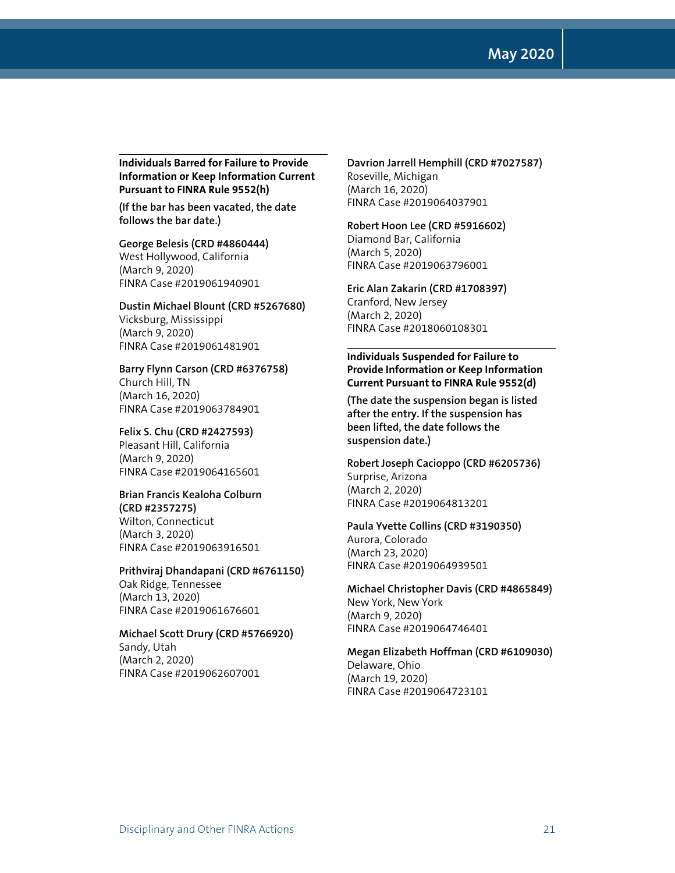**May 2020**

**Individuals Barred for Failure to Provide Information or Keep Information Current Pursuant to FINRA Rule 9552(h)** 

**(If the bar has been vacated, the date follows the bar date.)**

**George Belesis (CRD #4860444)** West Hollywood, California (March 9, 2020) FINRA Case #2019061940901

**Dustin Michael Blount (CRD #5267680)** Vicksburg, Mississippi (March 9, 2020) FINRA Case #2019061481901

**Barry Flynn Carson (CRD #6376758)** Church Hill, TN (March 16, 2020) FINRA Case #2019063784901

**Felix S. Chu (CRD #2427593)** Pleasant Hill, California (March 9, 2020) FINRA Case #2019064165601

#### **Brian Francis Kealoha Colburn (CRD #2357275)**

Wilton, Connecticut (March 3, 2020) FINRA Case #2019063916501

**Prithviraj Dhandapani (CRD #6761150)** Oak Ridge, Tennessee (March 13, 2020) FINRA Case #2019061676601

**Michael Scott Drury (CRD #5766920)** Sandy, Utah (March 2, 2020) FINRA Case #2019062607001

**Davrion Jarrell Hemphill (CRD #7027587)** Roseville, Michigan (March 16, 2020) FINRA Case #2019064037901

#### **Robert Hoon Lee (CRD #5916602)**

Diamond Bar, California (March 5, 2020) FINRA Case #2019063796001

**Eric Alan Zakarin (CRD #1708397)** Cranford, New Jersey (March 2, 2020) FINRA Case #2018060108301

#### **Individuals Suspended for Failure to Provide Information or Keep Information Current Pursuant to FINRA Rule 9552(d)**

**(The date the suspension began is listed after the entry. If the suspension has been lifted, the date follows the suspension date.)**

**Robert Joseph Cacioppo (CRD #6205736)** Surprise, Arizona (March 2, 2020) FINRA Case #2019064813201

**Paula Yvette Collins (CRD #3190350)** Aurora, Colorado (March 23, 2020) FINRA Case #2019064939501

**Michael Christopher Davis (CRD #4865849)** New York, New York (March 9, 2020) FINRA Case #2019064746401

**Megan Elizabeth Hoffman (CRD #6109030)** Delaware, Ohio (March 19, 2020) FINRA Case #2019064723101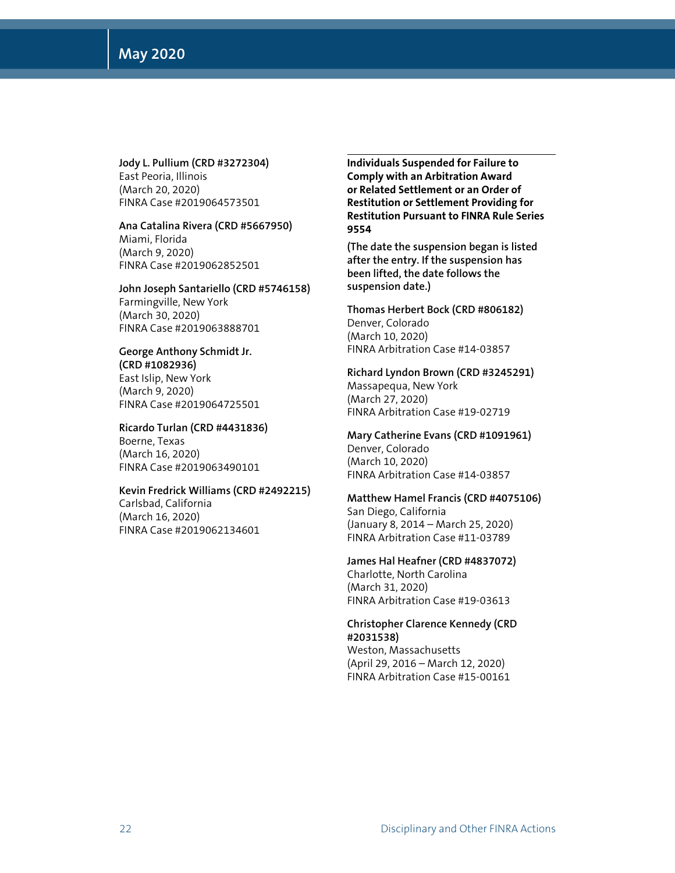**Jody L. Pullium (CRD #3272304)** East Peoria, Illinois (March 20, 2020) FINRA Case #2019064573501

**Ana Catalina Rivera (CRD #5667950)** Miami, Florida (March 9, 2020) FINRA Case #2019062852501

**John Joseph Santariello (CRD #5746158)** Farmingville, New York (March 30, 2020) FINRA Case #2019063888701

**George Anthony Schmidt Jr. (CRD #1082936)** East Islip, New York (March 9, 2020) FINRA Case #2019064725501

**Ricardo Turlan (CRD #4431836)** Boerne, Texas (March 16, 2020) FINRA Case #2019063490101

**Kevin Fredrick Williams (CRD #2492215)** Carlsbad, California (March 16, 2020) FINRA Case #2019062134601

**Individuals Suspended for Failure to Comply with an Arbitration Award or Related Settlement or an Order of Restitution or Settlement Providing for Restitution Pursuant to FINRA Rule Series 9554** 

**(The date the suspension began is listed after the entry. If the suspension has been lifted, the date follows the suspension date.)**

**Thomas Herbert Bock (CRD #806182)** Denver, Colorado (March 10, 2020) FINRA Arbitration Case #14-03857

**Richard Lyndon Brown (CRD #3245291)** Massapequa, New York

(March 27, 2020) FINRA Arbitration Case #19-02719

**Mary Catherine Evans (CRD #1091961)** Denver, Colorado (March 10, 2020) FINRA Arbitration Case #14-03857

**Matthew Hamel Francis (CRD #4075106)** San Diego, California (January 8, 2014 – March 25, 2020) FINRA Arbitration Case #11-03789

**James Hal Heafner (CRD #4837072)** Charlotte, North Carolina (March 31, 2020) FINRA Arbitration Case #19-03613

**Christopher Clarence Kennedy (CRD #2031538)**

Weston, Massachusetts (April 29, 2016 – March 12, 2020) FINRA Arbitration Case #15-00161